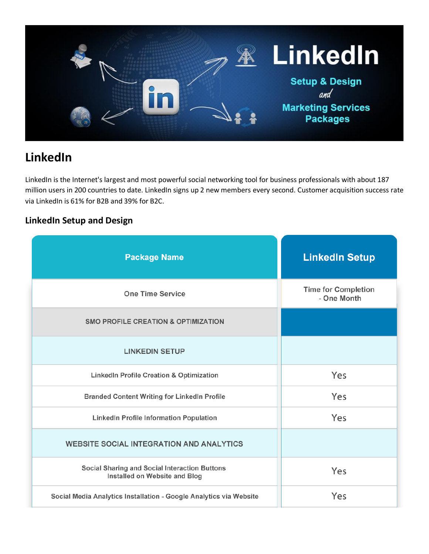

# **LinkedIn**

LinkedIn is the Internet's largest and most powerful social networking tool for business professionals with about 187 million users in 200 countries to date. LinkedIn signs up 2 new members every second. Customer acquisition success rate via LinkedIn is 61% for B2B and 39% for B2C.

## **LinkedIn Setup and Design**

| <b>Package Name</b>                                                            | <b>LinkedIn Setup</b>                     |
|--------------------------------------------------------------------------------|-------------------------------------------|
| <b>One Time Service</b>                                                        | <b>Time for Completion</b><br>- One Month |
| <b>SMO PROFILE CREATION &amp; OPTIMIZATION</b>                                 |                                           |
| <b>LINKEDIN SETUP</b>                                                          |                                           |
| LinkedIn Profile Creation & Optimization                                       | Yes                                       |
| <b>Branded Content Writing for LinkedIn Profile</b>                            | Yes                                       |
| <b>LinkedIn Profile Information Population</b>                                 | Yes                                       |
| <b>WEBSITE SOCIAL INTEGRATION AND ANALYTICS</b>                                |                                           |
| Social Sharing and Social Interaction Buttons<br>Installed on Website and Blog | Yes                                       |
| Social Media Analytics Installation - Google Analytics via Website             | Yes                                       |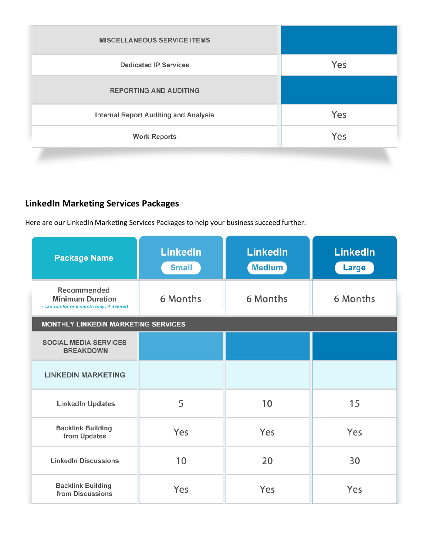| <b>MISCELLANEOUS SERVICE ITEMS</b>           |     |
|----------------------------------------------|-----|
| <b>Dedicated IP Services</b>                 | Yes |
| <b>REPORTING AND AUDITING</b>                |     |
| <b>Internal Report Auditing and Analysis</b> | Yes |
| <b>Work Reports</b>                          | Yes |
|                                              |     |

## **LinkedIn Marketing Services Packages**

Here are our LinkedIn Marketing Services Packages to help your business succeed further:

| <b>Package Name</b>                                                                | <b>LinkedIn</b><br><b>Small</b> | <b>LinkedIn</b><br><b>Medium</b> | <b>LinkedIn</b><br>Large |  |  |
|------------------------------------------------------------------------------------|---------------------------------|----------------------------------|--------------------------|--|--|
| Recommended<br><b>Minimum Duration</b><br>- can run for one month only, if desired | 6 Months                        | 6 Months                         | 6 Months                 |  |  |
| <b>MONTHLY LINKEDIN MARKETING SERVICES</b>                                         |                                 |                                  |                          |  |  |
| <b>SOCIAL MEDIA SERVICES</b><br><b>BREAKDOWN</b>                                   |                                 |                                  |                          |  |  |
| <b>LINKEDIN MARKETING</b>                                                          |                                 |                                  |                          |  |  |
| <b>LinkedIn Updates</b>                                                            | 5                               | 10                               | 15                       |  |  |
| <b>Backlink Building</b><br>from Updates                                           | Yes                             | Yes                              | Yes                      |  |  |
| <b>LinkedIn Discussions</b>                                                        | 10                              | 20                               | 30                       |  |  |
| <b>Backlink Building</b><br>from Discussions                                       | Yes                             | Yes                              | Yes                      |  |  |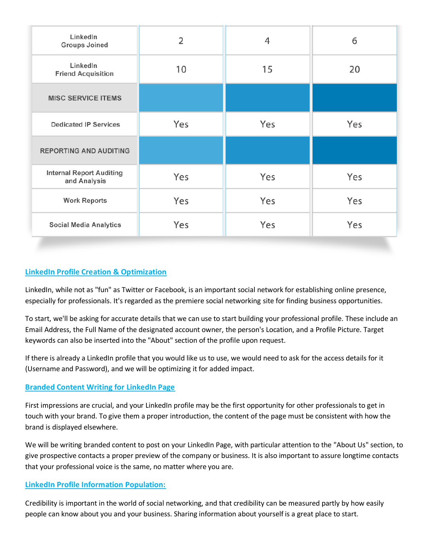| LinkedIn<br><b>Groups Joined</b>                | $\overline{2}$ | 4   | 6   |
|-------------------------------------------------|----------------|-----|-----|
| LinkedIn<br><b>Friend Acquisition</b>           | 10             | 15  | 20  |
| <b>MISC SERVICE ITEMS</b>                       |                |     |     |
| <b>Dedicated IP Services</b>                    | Yes            | Yes | Yes |
| <b>REPORTING AND AUDITING</b>                   |                |     |     |
| <b>Internal Report Auditing</b><br>and Analysis | Yes            | Yes | Yes |
| <b>Work Reports</b>                             | Yes            | Yes | Yes |
| <b>Social Media Analytics</b>                   | Yes            | Yes | Yes |

## **LinkedIn Profile Creation & Optimization**

LinkedIn, while not as "fun" as Twitter or Facebook, is an important social network for establishing online presence, especially for professionals. It's regarded as the premiere social networking site for finding business opportunities.

To start, we'll be asking for accurate details that we can use to start building your professional profile. These include an Email Address, the Full Name of the designated account owner, the person's Location, and a Profile Picture. Target keywords can also be inserted into the "About" section of the profile upon request.

If there is already a LinkedIn profile that you would like us to use, we would need to ask for the access details for it (Username and Password), and we will be optimizing it for added impact.

## **Branded Content Writing for LinkedIn Page**

First impressions are crucial, and your LinkedIn profile may be the first opportunity for other professionals to get in touch with your brand. To give them a proper introduction, the content of the page must be consistent with how the brand is displayed elsewhere.

We will be writing branded content to post on your LinkedIn Page, with particular attention to the "About Us" section, to give prospective contacts a proper preview of the company or business. It is also important to assure longtime contacts that your professional voice is the same, no matter where you are.

## **LinkedIn Profile Information Population:**

Credibility is important in the world of social networking, and that credibility can be measured partly by how easily people can know about you and your business. Sharing information about yourself is a great place to start.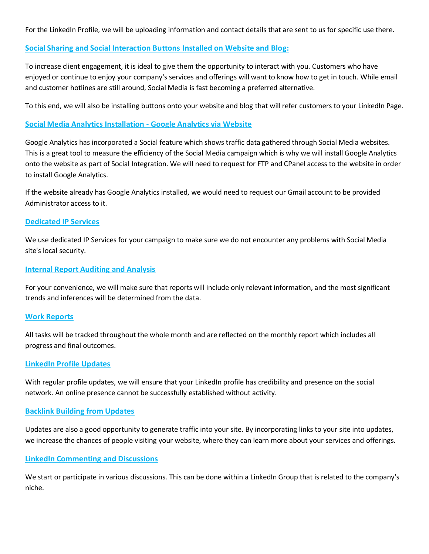For the LinkedIn Profile, we will be uploading information and contact details that are sent to us for specific use there.

## **Social Sharing and Social Interaction Buttons Installed on Website and Blog:**

To increase client engagement, it is ideal to give them the opportunity to interact with you. Customers who have enjoyed or continue to enjoy your company's services and offerings will want to know how to get in touch. While email and customer hotlines are still around, Social Media is fast becoming a preferred alternative.

To this end, we will also be installing buttons onto your website and blog that will refer customers to your LinkedIn Page.

## **Social Media Analytics Installation - Google Analytics via Website**

Google Analytics has incorporated a Social feature which shows traffic data gathered through Social Media websites. This is a great tool to measure the efficiency of the Social Media campaign which is why we will install Google Analytics onto the website as part of Social Integration. We will need to request for FTP and CPanel access to the website in order to install Google Analytics.

If the website already has Google Analytics installed, we would need to request our Gmail account to be provided Administrator access to it.

#### **Dedicated IP Services**

We use dedicated IP Services for your campaign to make sure we do not encounter any problems with Social Media site's local security.

#### **Internal Report Auditing and Analysis**

For your convenience, we will make sure that reports will include only relevant information, and the most significant trends and inferences will be determined from the data.

#### **Work Reports**

All tasks will be tracked throughout the whole month and are reflected on the monthly report which includes all progress and final outcomes.

#### **LinkedIn Profile Updates**

With regular profile updates, we will ensure that your LinkedIn profile has credibility and presence on the social network. An online presence cannot be successfully established without activity.

#### **Backlink Building from Updates**

Updates are also a good opportunity to generate traffic into your site. By incorporating links to your site into updates, we increase the chances of people visiting your website, where they can learn more about your services and offerings.

## **LinkedIn Commenting and Discussions**

We start or participate in various discussions. This can be done within a LinkedIn Group that is related to the company's niche.